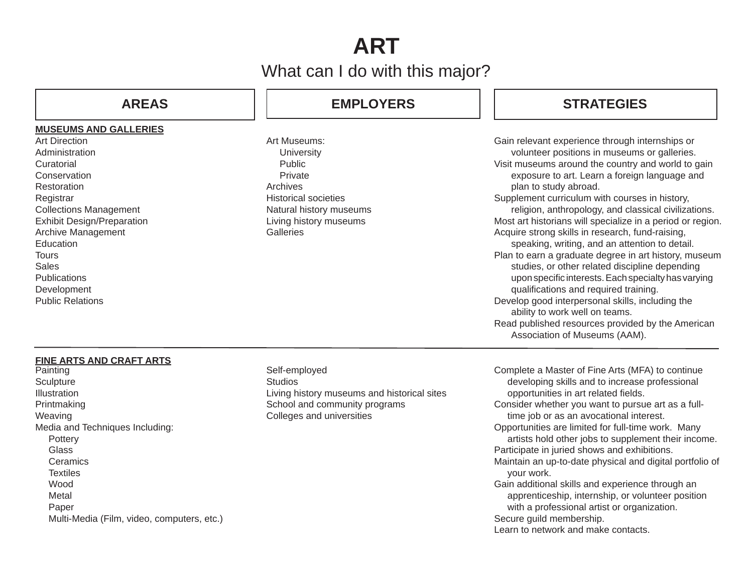# **ART**

## What can I do with this major?

### **MUSEUMS AND GALLERIES**

Art DirectionAdministration**Curatorial Conservation** Restoration **Registrar** Collections Management Exhibit Design/Preparation Archive Management **Education Tours** Sales**Publications** Development Public Relations

## **AREAS EMPLOYERS**

Art Museums: **University**  Public PrivateArchivesHistorical societiesNatural history museums Living history museums **Galleries** 

## **STRATEGIES**

Gain relevant experience through internships or volunteer positions in museums or galleries. Visit museums around the country and world to gain exposure to art. Learn a foreign language and plan to study abroad. Supplement curriculum with courses in history, religion, anthropology, and classical civilizations. Most art historians will specialize in a period or region. Acquire strong skills in research, fund-raising, speaking, writing, and an attention to detail. Plan to earn a graduate degree in art history, museum studies, or other related discipline depending upon specific interests. Each specialty has varying qualifications and required training. Develop good interpersonal skills, including the ability to work well on teams. Read published resources provided by the American Association of Museums (AAM).

### **FINE ARTS AND CRAFT ARTS**

Painting **Sculpture Illustration** Printmaking Weaving Media and Techniques Including: **Pottery**  Glass **Ceramics Textiles**  Wood Metal Paper Multi-Media (Film, video, computers, etc.) Self-employed **Studios** Living history museums and historical sites School and community programs Colleges and universities

Complete a Master of Fine Arts (MFA) to continue developing skills and to increase professional opportunities in art related fields. Consider whether you want to pursue art as a full time job or as an avocational interest. Opportunities are limited for full-time work. Many artists hold other jobs to supplement their income. Participate in juried shows and exhibitions. Maintain an up-to-date physical and digital portfolio of your work. Gain additional skills and experience through an apprenticeship, internship, or volunteer position with a professional artist or organization. Secure guild membership. Learn to network and make contacts.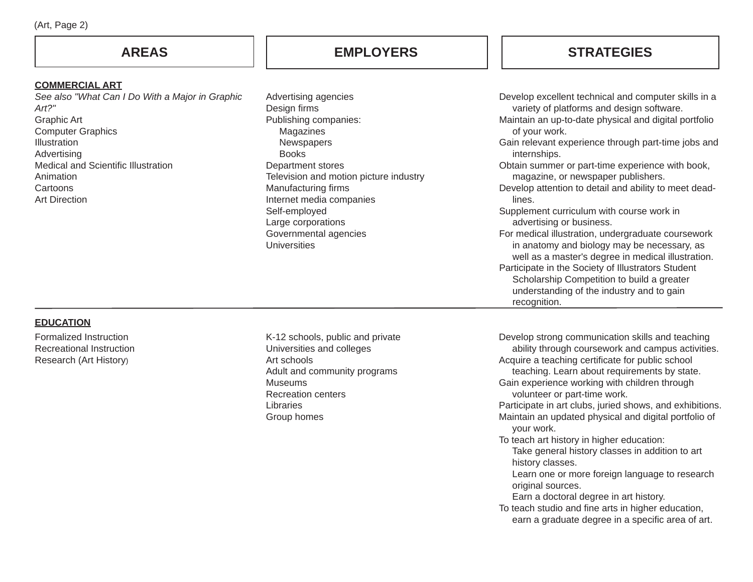## **AREAS**

### **COMMERCIAL ART**

*See also "What Can I Do With a Major in Graphic Art?"*Graphic Art Computer Graphics IllustrationAdvertising Medical and Scientific Illustration Animation**Cartoons** Art Direction

## **EMPLOYERS STRATEGIES**

| Advertising agencies                         | Develop excellent technical and computer skills in a                                                                                                    |
|----------------------------------------------|---------------------------------------------------------------------------------------------------------------------------------------------------------|
| Design firms                                 | variety of platforms and design software.                                                                                                               |
| Publishing companies:                        | Maintain an up-to-date physical and digital portfolio                                                                                                   |
| Magazines                                    | of your work.                                                                                                                                           |
| Newspapers                                   | Gain relevant experience through part-time jobs and                                                                                                     |
| <b>Books</b>                                 | internships.                                                                                                                                            |
| Department stores                            | Obtain summer or part-time experience with book,                                                                                                        |
| Television and motion picture industry       | magazine, or newspaper publishers.                                                                                                                      |
| Manufacturing firms                          | Develop attention to detail and ability to meet dead-                                                                                                   |
| Internet media companies                     | lines.                                                                                                                                                  |
| Self-employed                                | Supplement curriculum with course work in                                                                                                               |
| Large corporations                           | advertising or business.                                                                                                                                |
| Governmental agencies<br><b>Universities</b> | For medical illustration, undergraduate coursework<br>in anatomy and biology may be necessary, as<br>well as a master's degree in medical illustration. |
|                                              | Participate in the Society of Illustrators Student<br>Scholarship Competition to build a greater                                                        |

recognition.

**EDUCATION**

Formalized InstructionRecreational InstructionResearch (Art History)

K-12 schools, public and private Universities and colleges Art schoolsAdult and community programs MuseumsRecreation centers**Libraries** Group homes

Develop strong communication skills and teaching ability through coursework and campus activities. Acquire a teaching certificate for public school teaching. Learn about requirements by state. Gain experience working with children through volunteer or part-time work. Participate in art clubs, juried shows, and exhibitions. Maintain an updated physical and digital portfolio of your work. To teach art history in higher education: Take general history classes in addition to art history classes.

understanding of the industry and to gain

 Learn one or more foreign language to research original sources.

Earn a doctoral degree in art history.

To teach studio and fine arts in higher education, earn a graduate degree in a specific area of art.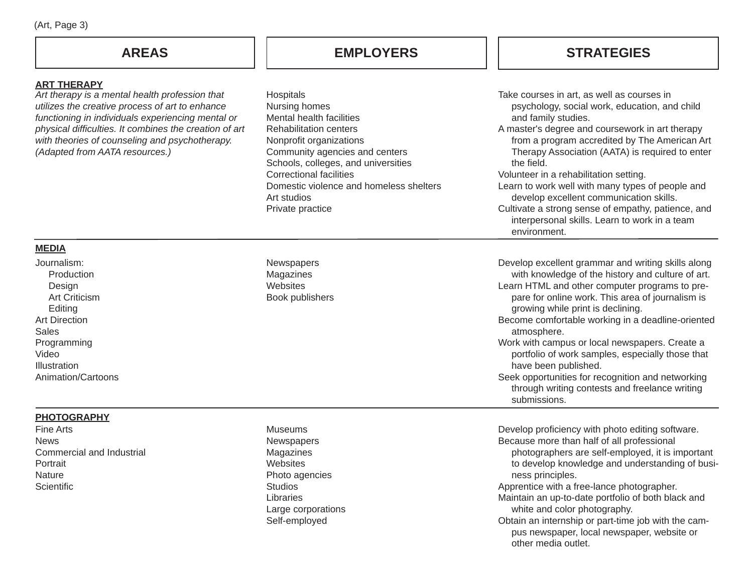### **ART THERAPY**

 *Art therapy is a mental health profession that utilizes the creative process of art to enhance functioning in individuals experiencing mental or physical diffi culties. It combines the creation of art with theories of counseling and psychotherapy. (Adapted from AATA resources.)*

## **AREAS EMPLOYERS**

## **STRATEGIES**

| Hospitals<br>Nursing homes<br>Mental health facilities<br>Rehabilitation centers<br>Nonprofit organizations<br>Community agencies and centers<br>Schools, colleges, and universities<br>Correctional facilities<br>Domestic violence and homeless shelters<br>Art studios<br>Private practice | Take courses in art, as well as courses in<br>psychology, social work, education, and child<br>and family studies.<br>A master's degree and coursework in art therapy<br>from a program accredited by The American Art<br>Therapy Association (AATA) is required to enter<br>the field.<br>Volunteer in a rehabilitation setting.<br>Learn to work well with many types of people and<br>develop excellent communication skills.<br>Cultivate a strong sense of empathy, patience, and<br>interpersonal skills. Learn to work in a team<br>environment. |
|-----------------------------------------------------------------------------------------------------------------------------------------------------------------------------------------------------------------------------------------------------------------------------------------------|---------------------------------------------------------------------------------------------------------------------------------------------------------------------------------------------------------------------------------------------------------------------------------------------------------------------------------------------------------------------------------------------------------------------------------------------------------------------------------------------------------------------------------------------------------|
| Newspapers                                                                                                                                                                                                                                                                                    | Develop excellent grammar and writing skills along                                                                                                                                                                                                                                                                                                                                                                                                                                                                                                      |

### **MEDIA**

Journalism:

| JUUH I JULI 1.       |  |
|----------------------|--|
| Production           |  |
| Design               |  |
| <b>Art Criticism</b> |  |
| Editing              |  |
| <b>Art Direction</b> |  |
| Sales                |  |
| Programming          |  |
| Video                |  |
| Illustration         |  |
| Animation/Cartoons   |  |

## **PHOTOGRAPHY**

Fine Arts **News** Commercial and Industrial Portrait **Nature Scientific** 

### Museums**Newspapers** Magazines **Websites** Photo agencies **Studios** LibrariesLarge corporations Self-employed

Magazines **Websites** Book publishers

> Develop proficiency with photo editing software. Because more than half of all professional

 with knowledge of the history and culture of art. Learn HTML and other computer programs to pre pare for online work. This area of journalism is

Become comfortable working in a deadline-oriented

Work with campus or local newspapers. Create a portfolio of work samples, especially those that

Seek opportunities for recognition and networking through writing contests and freelance writing

growing while print is declining.

atmosphere.

submissions.

have been published.

 photographers are self-employed, it is important to develop knowledge and understanding of busi ness principles.

Apprentice with a free-lance photographer.

Maintain an up-to-date portfolio of both black and white and color photography.

Obtain an internship or part-time job with the cam pus newspaper, local newspaper, website or other media outlet.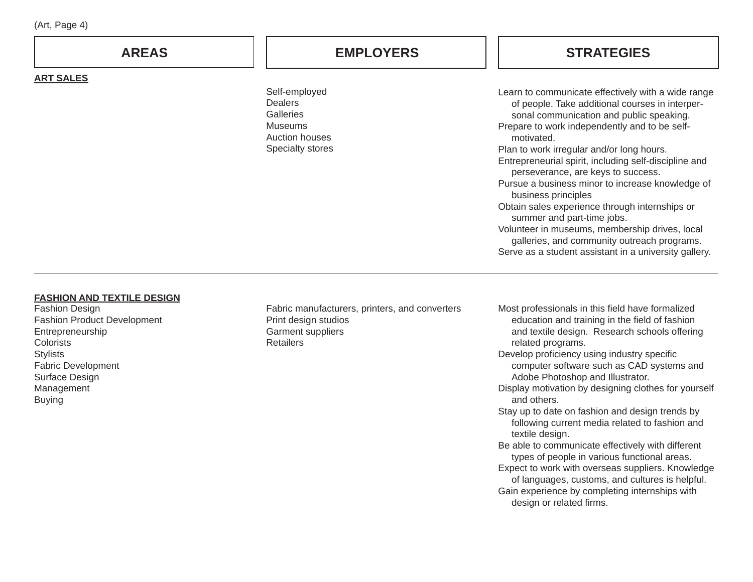| (Art, Page 4) |              |                  |
|---------------|--------------|------------------|
|               | <b>AREAS</b> | <b>EMPLOYERS</b> |

Self-employed **Dealers Galleries** MuseumsAuction housesSpecialty stores

## **STRATEGIES**

Learn to communicate effectively with a wide range of people. Take additional courses in interper sonal communication and public speaking. Prepare to work independently and to be self motivated.Plan to work irregular and/or long hours. Entrepreneurial spirit, including self-discipline and perseverance, are keys to success. Pursue a business minor to increase knowledge of business principles Obtain sales experience through internships or summer and part-time jobs. Volunteer in museums, membership drives, local galleries, and community outreach programs. Serve as a student assistant in a university gallery.

### **FASHION AND TEXTILE DESIGN**

**ART SALES**

Fashion Design Fashion Product Development Entrepreneurship **Colorists Stylists** Fabric Development Surface Design Management Buying

Fabric manufacturers, printers, and converters Print design studios Garment suppliers **Retailers** 

Most professionals in this field have formalized education and training in the field of fashion and textile design. Research schools offering related programs.

- Develop proficiency using industry specific computer software such as CAD systems and Adobe Photoshop and Illustrator.
- Display motivation by designing clothes for yourself and others.
- Stay up to date on fashion and design trends by following current media related to fashion and textile design.
- Be able to communicate effectively with different types of people in various functional areas. Expect to work with overseas suppliers. Knowledge
- of languages, customs, and cultures is helpful. Gain experience by completing internships with design or related firms.